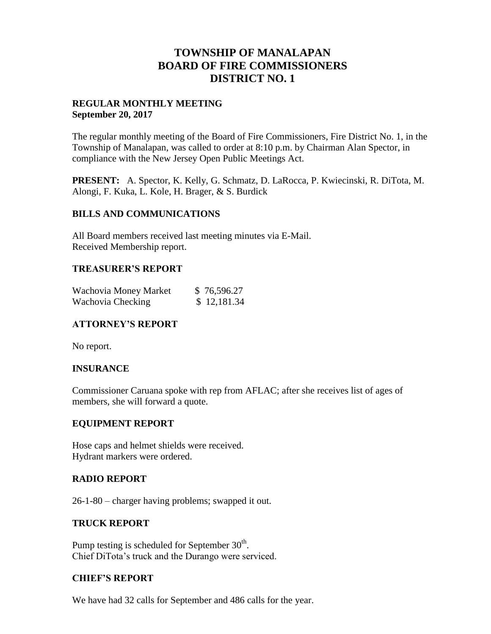## **TOWNSHIP OF MANALAPAN BOARD OF FIRE COMMISSIONERS DISTRICT NO. 1**

#### **REGULAR MONTHLY MEETING September 20, 2017**

The regular monthly meeting of the Board of Fire Commissioners, Fire District No. 1, in the Township of Manalapan, was called to order at 8:10 p.m. by Chairman Alan Spector, in compliance with the New Jersey Open Public Meetings Act.

**PRESENT:** A. Spector, K. Kelly, G. Schmatz, D. LaRocca, P. Kwiecinski, R. DiTota, M. Alongi, F. Kuka, L. Kole, H. Brager, & S. Burdick

#### **BILLS AND COMMUNICATIONS**

All Board members received last meeting minutes via E-Mail. Received Membership report.

## **TREASURER'S REPORT**

| Wachovia Money Market | \$76,596.27 |
|-----------------------|-------------|
| Wachovia Checking     | \$12,181.34 |

## **ATTORNEY'S REPORT**

No report.

#### **INSURANCE**

Commissioner Caruana spoke with rep from AFLAC; after she receives list of ages of members, she will forward a quote.

#### **EQUIPMENT REPORT**

Hose caps and helmet shields were received. Hydrant markers were ordered.

#### **RADIO REPORT**

26-1-80 – charger having problems; swapped it out.

#### **TRUCK REPORT**

Pump testing is scheduled for September  $30<sup>th</sup>$ . Chief DiTota's truck and the Durango were serviced.

## **CHIEF'S REPORT**

We have had 32 calls for September and 486 calls for the year.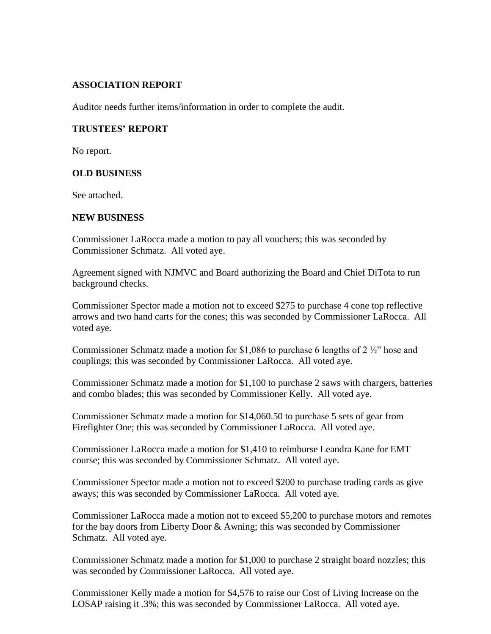#### **ASSOCIATION REPORT**

Auditor needs further items/information in order to complete the audit.

## **TRUSTEES' REPORT**

No report.

#### **OLD BUSINESS**

See attached.

#### **NEW BUSINESS**

Commissioner LaRocca made a motion to pay all vouchers; this was seconded by Commissioner Schmatz. All voted aye.

Agreement signed with NJMVC and Board authorizing the Board and Chief DiTota to run background checks.

Commissioner Spector made a motion not to exceed \$275 to purchase 4 cone top reflective arrows and two hand carts for the cones; this was seconded by Commissioner LaRocca. All voted aye.

Commissioner Schmatz made a motion for \$1,086 to purchase 6 lengths of 2 ½" hose and couplings; this was seconded by Commissioner LaRocca. All voted aye.

Commissioner Schmatz made a motion for \$1,100 to purchase 2 saws with chargers, batteries and combo blades; this was seconded by Commissioner Kelly. All voted aye.

Commissioner Schmatz made a motion for \$14,060.50 to purchase 5 sets of gear from Firefighter One; this was seconded by Commissioner LaRocca. All voted aye.

Commissioner LaRocca made a motion for \$1,410 to reimburse Leandra Kane for EMT course; this was seconded by Commissioner Schmatz. All voted aye.

Commissioner Spector made a motion not to exceed \$200 to purchase trading cards as give aways; this was seconded by Commissioner LaRocca. All voted aye.

Commissioner LaRocca made a motion not to exceed \$5,200 to purchase motors and remotes for the bay doors from Liberty Door & Awning; this was seconded by Commissioner Schmatz. All voted aye.

Commissioner Schmatz made a motion for \$1,000 to purchase 2 straight board nozzles; this was seconded by Commissioner LaRocca. All voted aye.

Commissioner Kelly made a motion for \$4,576 to raise our Cost of Living Increase on the LOSAP raising it .3%; this was seconded by Commissioner LaRocca. All voted aye.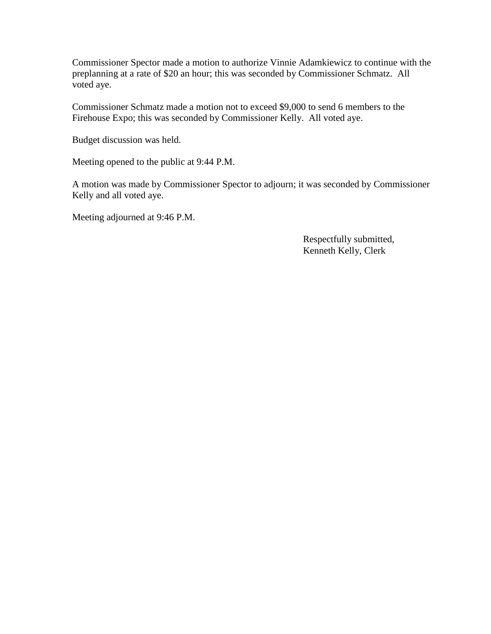Commissioner Spector made a motion to authorize Vinnie Adamkiewicz to continue with the preplanning at a rate of \$20 an hour; this was seconded by Commissioner Schmatz. All voted aye.

Commissioner Schmatz made a motion not to exceed \$9,000 to send 6 members to the Firehouse Expo; this was seconded by Commissioner Kelly. All voted aye.

Budget discussion was held.

Meeting opened to the public at 9:44 P.M.

A motion was made by Commissioner Spector to adjourn; it was seconded by Commissioner Kelly and all voted aye.

Meeting adjourned at 9:46 P.M.

 Respectfully submitted, Kenneth Kelly, Clerk